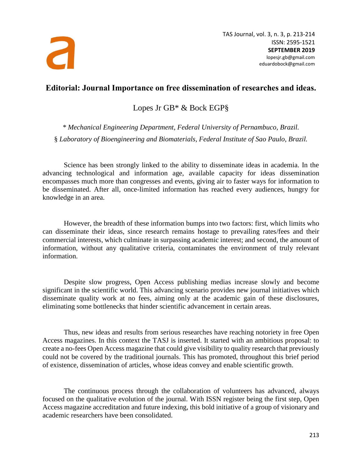

TAS Journal, vol. 3, n. 3, p. 213-214 ISSN: 2595-1521 **SEPTEMBER 2019** lopesjr.gb@gmail.com eduardobock@gmail.com

## **Editorial: Journal Importance on free dissemination of researches and ideas.**

Lopes Jr GB\* & Bock EGP§

*\* Mechanical Engineering Department, Federal University of Pernambuco, Brazil.* § *Laboratory of Bioengineering and Biomaterials, Federal Institute of Sao Paulo, Brazil.*

Science has been strongly linked to the ability to disseminate ideas in academia. In the advancing technological and information age, available capacity for ideas dissemination encompasses much more than congresses and events, giving air to faster ways for information to be disseminated. After all, once-limited information has reached every audiences, hungry for knowledge in an area.

However, the breadth of these information bumps into two factors: first, which limits who can disseminate their ideas, since research remains hostage to prevailing rates/fees and their commercial interests, which culminate in surpassing academic interest; and second, the amount of information, without any qualitative criteria, contaminates the environment of truly relevant information.

Despite slow progress, Open Access publishing medias increase slowly and become significant in the scientific world. This advancing scenario provides new journal initiatives which disseminate quality work at no fees, aiming only at the academic gain of these disclosures, eliminating some bottlenecks that hinder scientific advancement in certain areas.

Thus, new ideas and results from serious researches have reaching notoriety in free Open Access magazines. In this context the TASJ is inserted. It started with an ambitious proposal: to create a no-fees Open Access magazine that could give visibility to quality research that previously could not be covered by the traditional journals. This has promoted, throughout this brief period of existence, dissemination of articles, whose ideas convey and enable scientific growth.

The continuous process through the collaboration of volunteers has advanced, always focused on the qualitative evolution of the journal. With ISSN register being the first step, Open Access magazine accreditation and future indexing, this bold initiative of a group of visionary and academic researchers have been consolidated.